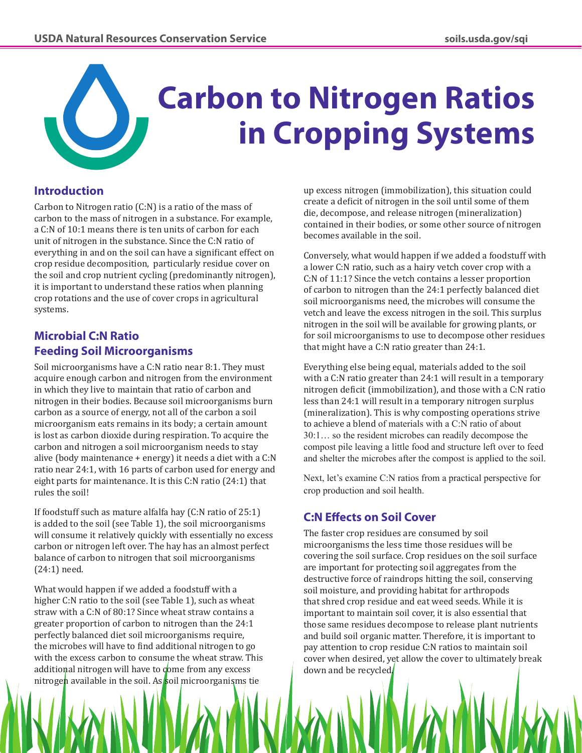

# **Carbon to Nitrogen Ratios in Cropping Systems**

# **Introduction**

Carbon to Nitrogen ratio (C:N) is a ratio of the mass of carbon to the mass of nitrogen in a substance. For example, a C:N of 10:1 means there is ten units of carbon for each unit of nitrogen in the substance. Since the C:N ratio of everything in and on the soil can have a significant effect on crop residue decomposition, particularly residue cover on the soil and crop nutrient cycling (predominantly nitrogen), it is important to understand these ratios when planning crop rotations and the use of cover crops in agricultural systems.

# **Microbial C:N Ratio Feeding Soil Microorganisms**

Soil microorganisms have a C:N ratio near 8:1. They must acquire enough carbon and nitrogen from the environment in which they live to maintain that ratio of carbon and nitrogen in their bodies. Because soil microorganisms burn carbon as a source of energy, not all of the carbon a soil microorganism eats remains in its body; a certain amount is lost as carbon dioxide during respiration. To acquire the carbon and nitrogen a soil microorganism needs to stay alive (body maintenance + energy) it needs a diet with a C:N ratio near 24:1, with 16 parts of carbon used for energy and eight parts for maintenance. It is this C:N ratio (24:1) that rules the soil!

If foodstuff such as mature alfalfa hay (C:N ratio of 25:1) is added to the soil (see Table 1), the soil microorganisms will consume it relatively quickly with essentially no excess carbon or nitrogen left over. The hay has an almost perfect balance of carbon to nitrogen that soil microorganisms (24:1) need.

What would happen if we added a foodstuff with a higher C:N ratio to the soil (see Table 1), such as wheat straw with a C:N of 80:1? Since wheat straw contains a greater proportion of carbon to nitrogen than the 24:1 perfectly balanced diet soil microorganisms require, the microbes will have to find additional nitrogen to go with the excess carbon to consume the wheat straw. This additional nitrogen will have to come from any excess nitrogen available in the soil. As soil microorganisms tie

up excess nitrogen (immobilization), this situation could create a deficit of nitrogen in the soil until some of them die, decompose, and release nitrogen (mineralization) contained in their bodies, or some other source of nitrogen becomes available in the soil.

Conversely, what would happen if we added a foodstuff with a lower C:N ratio, such as a hairy vetch cover crop with a C:N of 11:1? Since the vetch contains a lesser proportion of carbon to nitrogen than the 24:1 perfectly balanced diet soil microorganisms need, the microbes will consume the vetch and leave the excess nitrogen in the soil. This surplus nitrogen in the soil will be available for growing plants, or for soil microorganisms to use to decompose other residues that might have a C:N ratio greater than 24:1.

Everything else being equal, materials added to the soil with a C:N ratio greater than 24:1 will result in a temporary nitrogen deficit (immobilization), and those with a C:N ratio less than 24:1 will result in a temporary nitrogen surplus (mineralization). This is why composting operations strive to achieve a blend of materials with a C:N ratio of about 30:1… so the resident microbes can readily decompose the compost pile leaving a little food and structure left over to feed and shelter the microbes after the compost is applied to the soil.

Next, let's examine C:N ratios from a practical perspective for crop production and soil health.

# **C:N Effects on Soil Cover**

The faster crop residues are consumed by soil microorganisms the less time those residues will be covering the soil surface. Crop residues on the soil surface are important for protecting soil aggregates from the destructive force of raindrops hitting the soil, conserving soil moisture, and providing habitat for arthropods that shred crop residue and eat weed seeds. While it is important to maintain soil cover, it is also essential that those same residues decompose to release plant nutrients and build soil organic matter. Therefore, it is important to pay attention to crop residue C:N ratios to maintain soil cover when desired, yet allow the cover to ultimately break down and be recycled.